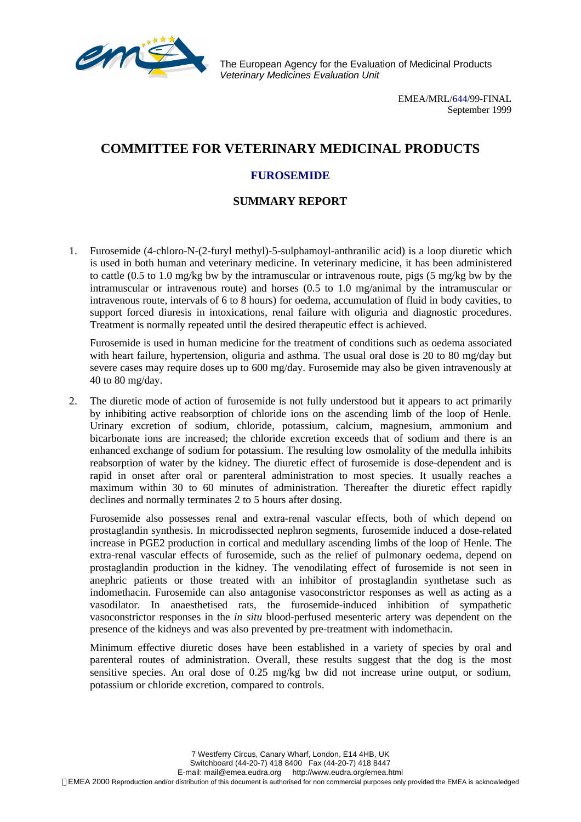

The European Agency for the Evaluation of Medicinal Products *Veterinary Medicines Evaluation Unit*

> EMEA/MRL/644/99-FINAL September 1999

## **COMMITTEE FOR VETERINARY MEDICINAL PRODUCTS**

## **FUROSEMIDE**

## **SUMMARY REPORT**

1. Furosemide (4-chloro-N-(2-furyl methyl)-5-sulphamoyl-anthranilic acid) is a loop diuretic which is used in both human and veterinary medicine. In veterinary medicine, it has been administered to cattle (0.5 to 1.0 mg/kg bw by the intramuscular or intravenous route, pigs (5 mg/kg bw by the intramuscular or intravenous route) and horses (0.5 to 1.0 mg/animal by the intramuscular or intravenous route, intervals of 6 to 8 hours) for oedema, accumulation of fluid in body cavities, to support forced diuresis in intoxications, renal failure with oliguria and diagnostic procedures. Treatment is normally repeated until the desired therapeutic effect is achieved.

Furosemide is used in human medicine for the treatment of conditions such as oedema associated with heart failure, hypertension, oliguria and asthma. The usual oral dose is 20 to 80 mg/day but severe cases may require doses up to 600 mg/day. Furosemide may also be given intravenously at 40 to 80 mg/day.

2. The diuretic mode of action of furosemide is not fully understood but it appears to act primarily by inhibiting active reabsorption of chloride ions on the ascending limb of the loop of Henle. Urinary excretion of sodium, chloride, potassium, calcium, magnesium, ammonium and bicarbonate ions are increased; the chloride excretion exceeds that of sodium and there is an enhanced exchange of sodium for potassium. The resulting low osmolality of the medulla inhibits reabsorption of water by the kidney. The diuretic effect of furosemide is dose-dependent and is rapid in onset after oral or parenteral administration to most species. It usually reaches a maximum within 30 to 60 minutes of administration. Thereafter the diuretic effect rapidly declines and normally terminates 2 to 5 hours after dosing.

Furosemide also possesses renal and extra-renal vascular effects, both of which depend on prostaglandin synthesis. In microdissected nephron segments, furosemide induced a dose-related increase in PGE2 production in cortical and medullary ascending limbs of the loop of Henle. The extra-renal vascular effects of furosemide, such as the relief of pulmonary oedema, depend on prostaglandin production in the kidney. The venodilating effect of furosemide is not seen in anephric patients or those treated with an inhibitor of prostaglandin synthetase such as indomethacin. Furosemide can also antagonise vasoconstrictor responses as well as acting as a vasodilator. In anaesthetised rats, the furosemide-induced inhibition of sympathetic vasoconstrictor responses in the *in situ* blood-perfused mesenteric artery was dependent on the presence of the kidneys and was also prevented by pre-treatment with indomethacin.

Minimum effective diuretic doses have been established in a variety of species by oral and parenteral routes of administration. Overall, these results suggest that the dog is the most sensitive species. An oral dose of 0.25 mg/kg bw did not increase urine output, or sodium, potassium or chloride excretion, compared to controls.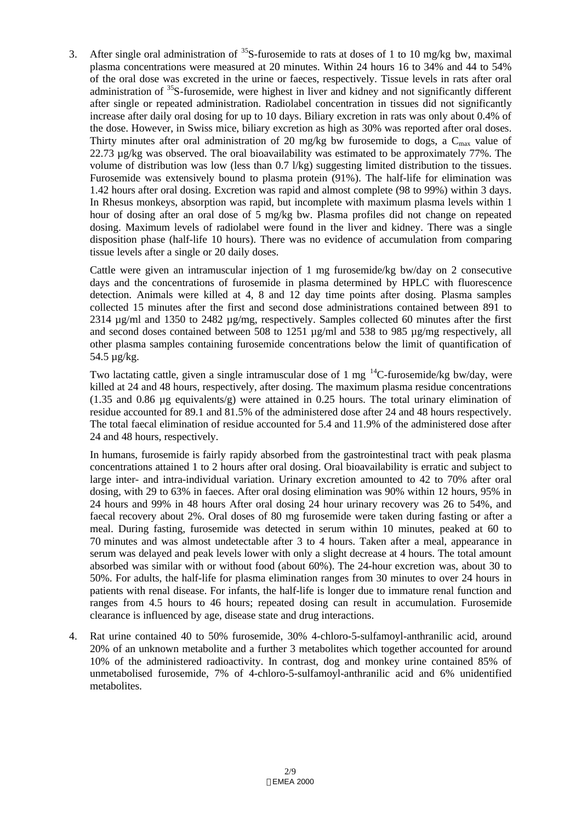3. After single oral administration of  $35S$ -furosemide to rats at doses of 1 to 10 mg/kg bw, maximal plasma concentrations were measured at 20 minutes. Within 24 hours 16 to 34% and 44 to 54% of the oral dose was excreted in the urine or faeces, respectively. Tissue levels in rats after oral administration of <sup>35</sup>S-furosemide, were highest in liver and kidney and not significantly different after single or repeated administration. Radiolabel concentration in tissues did not significantly increase after daily oral dosing for up to 10 days. Biliary excretion in rats was only about 0.4% of the dose. However, in Swiss mice, biliary excretion as high as 30% was reported after oral doses. Thirty minutes after oral administration of 20 mg/kg bw furosemide to dogs, a  $C_{\text{max}}$  value of 22.73  $\mu$ g/kg was observed. The oral bioavailability was estimated to be approximately 77%. The volume of distribution was low (less than 0.7 l/kg) suggesting limited distribution to the tissues. Furosemide was extensively bound to plasma protein (91%). The half-life for elimination was 1.42 hours after oral dosing. Excretion was rapid and almost complete (98 to 99%) within 3 days. In Rhesus monkeys, absorption was rapid, but incomplete with maximum plasma levels within 1 hour of dosing after an oral dose of 5 mg/kg bw. Plasma profiles did not change on repeated dosing. Maximum levels of radiolabel were found in the liver and kidney. There was a single disposition phase (half-life 10 hours). There was no evidence of accumulation from comparing tissue levels after a single or 20 daily doses.

Cattle were given an intramuscular injection of 1 mg furosemide/kg bw/day on 2 consecutive days and the concentrations of furosemide in plasma determined by HPLC with fluorescence detection. Animals were killed at 4, 8 and 12 day time points after dosing. Plasma samples collected 15 minutes after the first and second dose administrations contained between 891 to 2314 µg/ml and 1350 to 2482 µg/mg, respectively. Samples collected 60 minutes after the first and second doses contained between 508 to 1251  $\mu$ g/ml and 538 to 985  $\mu$ g/mg respectively, all other plasma samples containing furosemide concentrations below the limit of quantification of 54.5 µg/kg.

Two lactating cattle, given a single intramuscular dose of 1 mg  $^{14}$ C-furosemide/kg bw/day, were killed at 24 and 48 hours, respectively, after dosing. The maximum plasma residue concentrations (1.35 and 0.86 µg equivalents/g) were attained in 0.25 hours. The total urinary elimination of residue accounted for 89.1 and 81.5% of the administered dose after 24 and 48 hours respectively. The total faecal elimination of residue accounted for 5.4 and 11.9% of the administered dose after 24 and 48 hours, respectively.

In humans, furosemide is fairly rapidy absorbed from the gastrointestinal tract with peak plasma concentrations attained 1 to 2 hours after oral dosing. Oral bioavailability is erratic and subject to large inter- and intra-individual variation. Urinary excretion amounted to 42 to 70% after oral dosing, with 29 to 63% in faeces. After oral dosing elimination was 90% within 12 hours, 95% in 24 hours and 99% in 48 hours After oral dosing 24 hour urinary recovery was 26 to 54%, and faecal recovery about 2%. Oral doses of 80 mg furosemide were taken during fasting or after a meal. During fasting, furosemide was detected in serum within 10 minutes, peaked at 60 to 70 minutes and was almost undetectable after 3 to 4 hours. Taken after a meal, appearance in serum was delayed and peak levels lower with only a slight decrease at 4 hours. The total amount absorbed was similar with or without food (about 60%). The 24-hour excretion was, about 30 to 50%. For adults, the half-life for plasma elimination ranges from 30 minutes to over 24 hours in patients with renal disease. For infants, the half-life is longer due to immature renal function and ranges from 4.5 hours to 46 hours; repeated dosing can result in accumulation. Furosemide clearance is influenced by age, disease state and drug interactions.

4. Rat urine contained 40 to 50% furosemide, 30% 4-chloro-5-sulfamoyl-anthranilic acid, around 20% of an unknown metabolite and a further 3 metabolites which together accounted for around 10% of the administered radioactivity. In contrast, dog and monkey urine contained 85% of unmetabolised furosemide, 7% of 4-chloro-5-sulfamoyl-anthranilic acid and 6% unidentified metabolites.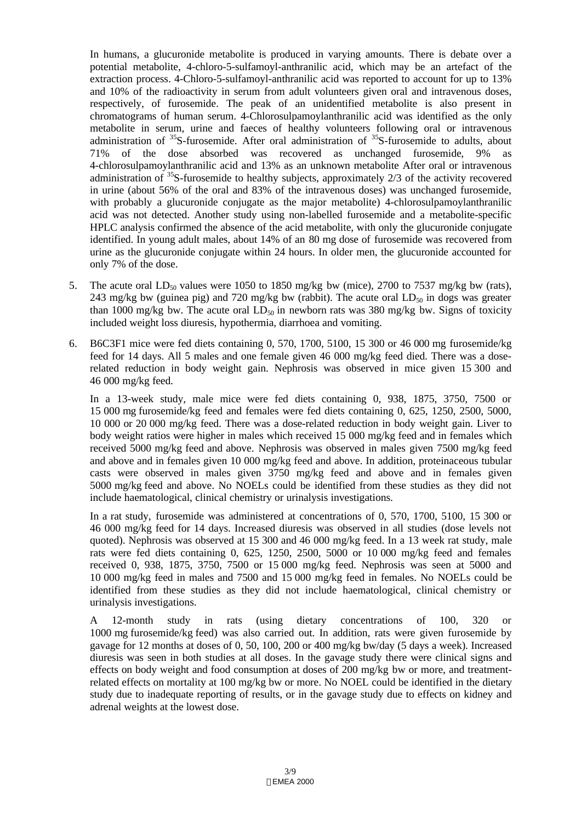In humans, a glucuronide metabolite is produced in varying amounts. There is debate over a potential metabolite, 4-chloro-5-sulfamoyl-anthranilic acid, which may be an artefact of the extraction process. 4-Chloro-5-sulfamoyl-anthranilic acid was reported to account for up to 13% and 10% of the radioactivity in serum from adult volunteers given oral and intravenous doses, respectively, of furosemide. The peak of an unidentified metabolite is also present in chromatograms of human serum. 4-Chlorosulpamoylanthranilic acid was identified as the only metabolite in serum, urine and faeces of healthy volunteers following oral or intravenous administration of  $35S$ -furosemide. After oral administration of  $35S$ -furosemide to adults, about 71% of the dose absorbed was recovered as unchanged furosemide, 9% 4-chlorosulpamoylanthranilic acid and 13% as an unknown metabolite After oral or intravenous administration of  $35S$ -furosemide to healthy subjects, approximately 2/3 of the activity recovered in urine (about 56% of the oral and 83% of the intravenous doses) was unchanged furosemide, with probably a glucuronide conjugate as the major metabolite) 4-chlorosulpamoylanthranilic acid was not detected. Another study using non-labelled furosemide and a metabolite-specific HPLC analysis confirmed the absence of the acid metabolite, with only the glucuronide conjugate identified. In young adult males, about 14% of an 80 mg dose of furosemide was recovered from urine as the glucuronide conjugate within 24 hours. In older men, the glucuronide accounted for only 7% of the dose.

- 5. The acute oral  $LD_{50}$  values were 1050 to 1850 mg/kg bw (mice), 2700 to 7537 mg/kg bw (rats), 243 mg/kg bw (guinea pig) and 720 mg/kg bw (rabbit). The acute oral  $LD_{50}$  in dogs was greater than 1000 mg/kg bw. The acute oral  $LD_{50}$  in newborn rats was 380 mg/kg bw. Signs of toxicity included weight loss diuresis, hypothermia, diarrhoea and vomiting.
- 6. B6C3F1 mice were fed diets containing 0, 570, 1700, 5100, 15 300 or 46 000 mg furosemide/kg feed for 14 days. All 5 males and one female given 46 000 mg/kg feed died. There was a doserelated reduction in body weight gain. Nephrosis was observed in mice given 15 300 and 46 000 mg/kg feed.

In a 13-week study, male mice were fed diets containing 0, 938, 1875, 3750, 7500 or 15 000 mg furosemide/kg feed and females were fed diets containing 0, 625, 1250, 2500, 5000, 10 000 or 20 000 mg/kg feed. There was a dose-related reduction in body weight gain. Liver to body weight ratios were higher in males which received 15 000 mg/kg feed and in females which received 5000 mg/kg feed and above. Nephrosis was observed in males given 7500 mg/kg feed and above and in females given 10 000 mg/kg feed and above. In addition, proteinaceous tubular casts were observed in males given 3750 mg/kg feed and above and in females given 5000 mg/kg feed and above. No NOELs could be identified from these studies as they did not include haematological, clinical chemistry or urinalysis investigations.

In a rat study, furosemide was administered at concentrations of 0, 570, 1700, 5100, 15 300 or 46 000 mg/kg feed for 14 days. Increased diuresis was observed in all studies (dose levels not quoted). Nephrosis was observed at 15 300 and 46 000 mg/kg feed. In a 13 week rat study, male rats were fed diets containing 0, 625, 1250, 2500, 5000 or 10 000 mg/kg feed and females received 0, 938, 1875, 3750, 7500 or 15 000 mg/kg feed. Nephrosis was seen at 5000 and 10 000 mg/kg feed in males and 7500 and 15 000 mg/kg feed in females. No NOELs could be identified from these studies as they did not include haematological, clinical chemistry or urinalysis investigations.

A 12-month study in rats (using dietary concentrations of 100, 320 or 1000 mg furosemide/kg feed) was also carried out. In addition, rats were given furosemide by gavage for 12 months at doses of 0, 50, 100, 200 or 400 mg/kg bw/day (5 days a week). Increased diuresis was seen in both studies at all doses. In the gavage study there were clinical signs and effects on body weight and food consumption at doses of 200 mg/kg bw or more, and treatmentrelated effects on mortality at 100 mg/kg bw or more. No NOEL could be identified in the dietary study due to inadequate reporting of results, or in the gavage study due to effects on kidney and adrenal weights at the lowest dose.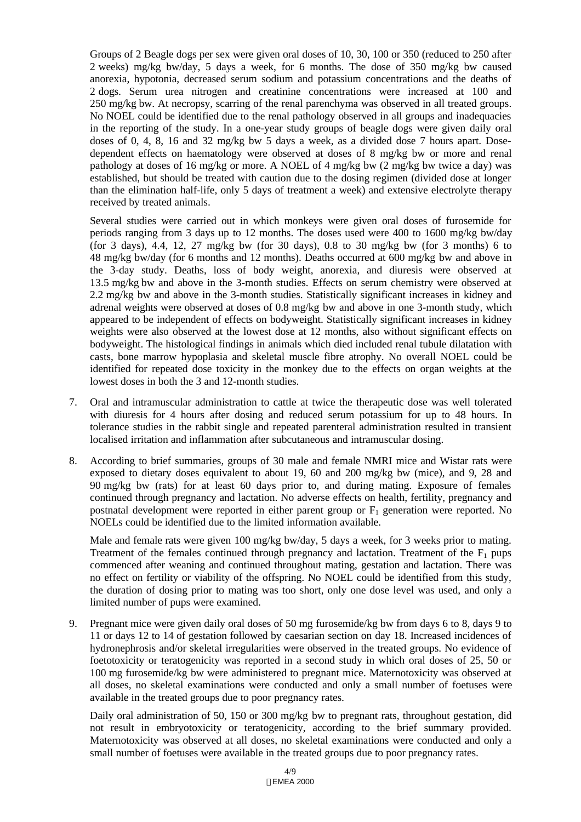Groups of 2 Beagle dogs per sex were given oral doses of 10, 30, 100 or 350 (reduced to 250 after 2 weeks) mg/kg bw/day, 5 days a week, for 6 months. The dose of 350 mg/kg bw caused anorexia, hypotonia, decreased serum sodium and potassium concentrations and the deaths of 2 dogs. Serum urea nitrogen and creatinine concentrations were increased at 100 and 250 mg/kg bw. At necropsy, scarring of the renal parenchyma was observed in all treated groups. No NOEL could be identified due to the renal pathology observed in all groups and inadequacies in the reporting of the study. In a one-year study groups of beagle dogs were given daily oral doses of 0, 4, 8, 16 and 32 mg/kg bw 5 days a week, as a divided dose 7 hours apart. Dosedependent effects on haematology were observed at doses of 8 mg/kg bw or more and renal pathology at doses of 16 mg/kg or more. A NOEL of 4 mg/kg bw (2 mg/kg bw twice a day) was established, but should be treated with caution due to the dosing regimen (divided dose at longer than the elimination half-life, only 5 days of treatment a week) and extensive electrolyte therapy received by treated animals.

Several studies were carried out in which monkeys were given oral doses of furosemide for periods ranging from 3 days up to 12 months. The doses used were 400 to 1600 mg/kg bw/day (for 3 days), 4.4, 12, 27 mg/kg bw (for 30 days), 0.8 to 30 mg/kg bw (for 3 months) 6 to 48 mg/kg bw/day (for 6 months and 12 months). Deaths occurred at 600 mg/kg bw and above in the 3-day study. Deaths, loss of body weight, anorexia, and diuresis were observed at 13.5 mg/kg bw and above in the 3-month studies. Effects on serum chemistry were observed at 2.2 mg/kg bw and above in the 3-month studies. Statistically significant increases in kidney and adrenal weights were observed at doses of 0.8 mg/kg bw and above in one 3-month study, which appeared to be independent of effects on bodyweight. Statistically significant increases in kidney weights were also observed at the lowest dose at 12 months, also without significant effects on bodyweight. The histological findings in animals which died included renal tubule dilatation with casts, bone marrow hypoplasia and skeletal muscle fibre atrophy. No overall NOEL could be identified for repeated dose toxicity in the monkey due to the effects on organ weights at the lowest doses in both the 3 and 12-month studies.

- 7. Oral and intramuscular administration to cattle at twice the therapeutic dose was well tolerated with diuresis for 4 hours after dosing and reduced serum potassium for up to 48 hours. In tolerance studies in the rabbit single and repeated parenteral administration resulted in transient localised irritation and inflammation after subcutaneous and intramuscular dosing.
- 8. According to brief summaries, groups of 30 male and female NMRI mice and Wistar rats were exposed to dietary doses equivalent to about 19, 60 and 200 mg/kg bw (mice), and 9, 28 and 90 mg/kg bw (rats) for at least 60 days prior to, and during mating. Exposure of females continued through pregnancy and lactation. No adverse effects on health, fertility, pregnancy and postnatal development were reported in either parent group or  $F_1$  generation were reported. No NOELs could be identified due to the limited information available.

Male and female rats were given 100 mg/kg bw/day, 5 days a week, for 3 weeks prior to mating. Treatment of the females continued through pregnancy and lactation. Treatment of the  $F_1$  pups commenced after weaning and continued throughout mating, gestation and lactation. There was no effect on fertility or viability of the offspring. No NOEL could be identified from this study, the duration of dosing prior to mating was too short, only one dose level was used, and only a limited number of pups were examined.

9. Pregnant mice were given daily oral doses of 50 mg furosemide/kg bw from days 6 to 8, days 9 to 11 or days 12 to 14 of gestation followed by caesarian section on day 18. Increased incidences of hydronephrosis and/or skeletal irregularities were observed in the treated groups. No evidence of foetotoxicity or teratogenicity was reported in a second study in which oral doses of 25, 50 or 100 mg furosemide/kg bw were administered to pregnant mice. Maternotoxicity was observed at all doses, no skeletal examinations were conducted and only a small number of foetuses were available in the treated groups due to poor pregnancy rates.

Daily oral administration of 50, 150 or 300 mg/kg bw to pregnant rats, throughout gestation, did not result in embryotoxicity or teratogenicity, according to the brief summary provided. Maternotoxicity was observed at all doses, no skeletal examinations were conducted and only a small number of foetuses were available in the treated groups due to poor pregnancy rates.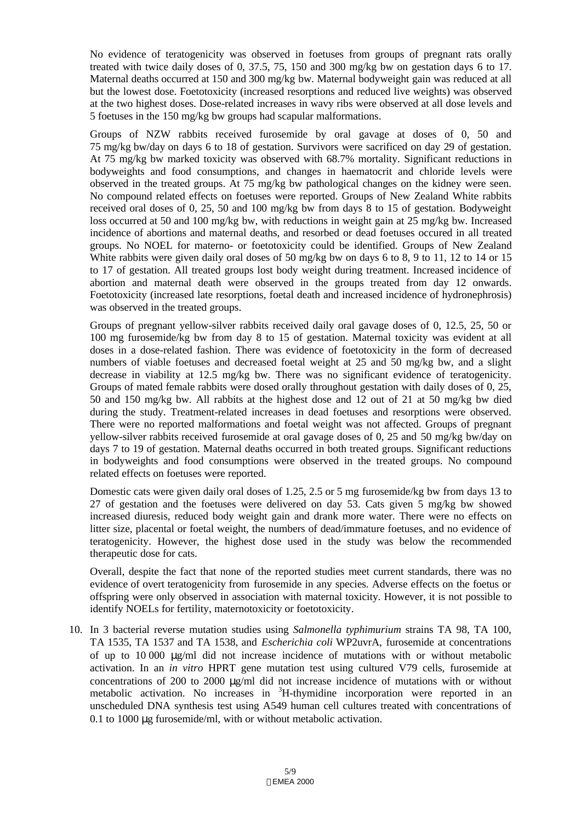No evidence of teratogenicity was observed in foetuses from groups of pregnant rats orally treated with twice daily doses of 0, 37.5, 75, 150 and 300 mg/kg bw on gestation days 6 to 17. Maternal deaths occurred at 150 and 300 mg/kg bw. Maternal bodyweight gain was reduced at all but the lowest dose. Foetotoxicity (increased resorptions and reduced live weights) was observed at the two highest doses. Dose-related increases in wavy ribs were observed at all dose levels and 5 foetuses in the 150 mg/kg bw groups had scapular malformations.

Groups of NZW rabbits received furosemide by oral gavage at doses of 0, 50 and 75 mg/kg bw/day on days 6 to 18 of gestation. Survivors were sacrificed on day 29 of gestation. At 75 mg/kg bw marked toxicity was observed with 68.7% mortality. Significant reductions in bodyweights and food consumptions, and changes in haematocrit and chloride levels were observed in the treated groups. At 75 mg/kg bw pathological changes on the kidney were seen. No compound related effects on foetuses were reported. Groups of New Zealand White rabbits received oral doses of 0, 25, 50 and 100 mg/kg bw from days 8 to 15 of gestation. Bodyweight loss occurred at 50 and 100 mg/kg bw, with reductions in weight gain at 25 mg/kg bw. Increased incidence of abortions and maternal deaths, and resorbed or dead foetuses occured in all treated groups. No NOEL for materno- or foetotoxicity could be identified. Groups of New Zealand White rabbits were given daily oral doses of 50 mg/kg bw on days 6 to 8, 9 to 11, 12 to 14 or 15 to 17 of gestation. All treated groups lost body weight during treatment. Increased incidence of abortion and maternal death were observed in the groups treated from day 12 onwards. Foetotoxicity (increased late resorptions, foetal death and increased incidence of hydronephrosis) was observed in the treated groups.

Groups of pregnant yellow-silver rabbits received daily oral gavage doses of 0, 12.5, 25, 50 or 100 mg furosemide/kg bw from day 8 to 15 of gestation. Maternal toxicity was evident at all doses in a dose-related fashion. There was evidence of foetotoxicity in the form of decreased numbers of viable foetuses and decreased foetal weight at 25 and 50 mg/kg bw, and a slight decrease in viability at 12.5 mg/kg bw. There was no significant evidence of teratogenicity. Groups of mated female rabbits were dosed orally throughout gestation with daily doses of 0, 25, 50 and 150 mg/kg bw. All rabbits at the highest dose and 12 out of 21 at 50 mg/kg bw died during the study. Treatment-related increases in dead foetuses and resorptions were observed. There were no reported malformations and foetal weight was not affected. Groups of pregnant yellow-silver rabbits received furosemide at oral gavage doses of 0, 25 and 50 mg/kg bw/day on days 7 to 19 of gestation. Maternal deaths occurred in both treated groups. Significant reductions in bodyweights and food consumptions were observed in the treated groups. No compound related effects on foetuses were reported.

Domestic cats were given daily oral doses of 1.25, 2.5 or 5 mg furosemide/kg bw from days 13 to 27 of gestation and the foetuses were delivered on day 53. Cats given 5 mg/kg bw showed increased diuresis, reduced body weight gain and drank more water. There were no effects on litter size, placental or foetal weight, the numbers of dead/immature foetuses, and no evidence of teratogenicity. However, the highest dose used in the study was below the recommended therapeutic dose for cats.

Overall, despite the fact that none of the reported studies meet current standards, there was no evidence of overt teratogenicity from furosemide in any species. Adverse effects on the foetus or offspring were only observed in association with maternal toxicity. However, it is not possible to identify NOELs for fertility, maternotoxicity or foetotoxicity.

10. In 3 bacterial reverse mutation studies using *Salmonella typhimurium* strains TA 98, TA 100, TA 1535, TA 1537 and TA 1538, and *Escherichia coli* WP2uvrA, furosemide at concentrations of up to 10 000 μg/ml did not increase incidence of mutations with or without metabolic activation. In an *in vitro* HPRT gene mutation test using cultured V79 cells, furosemide at concentrations of 200 to 2000 μg/ml did not increase incidence of mutations with or without metabolic activation. No increases in <sup>3</sup>H-thymidine incorporation were reported in an unscheduled DNA synthesis test using A549 human cell cultures treated with concentrations of 0.1 to 1000 μg furosemide/ml, with or without metabolic activation.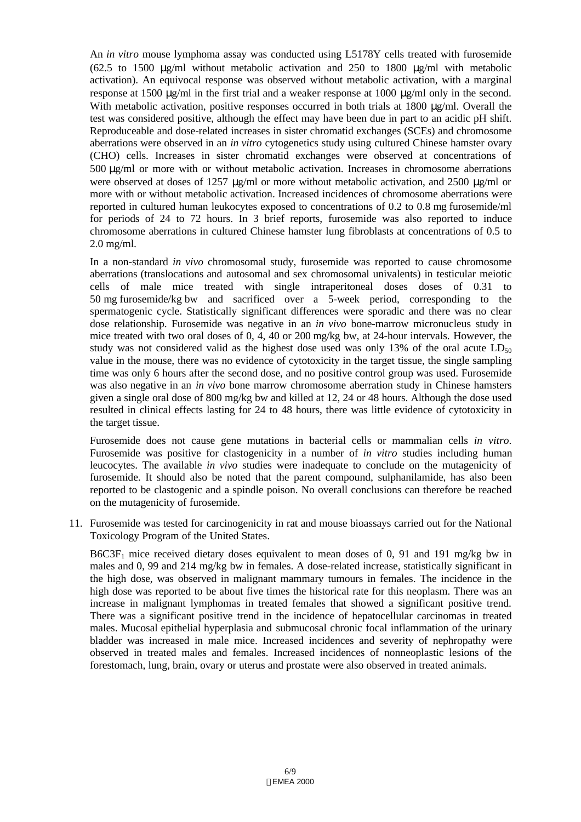An *in vitro* mouse lymphoma assay was conducted using L5178Y cells treated with furosemide (62.5 to 1500 μg/ml without metabolic activation and 250 to 1800 μg/ml with metabolic activation). An equivocal response was observed without metabolic activation, with a marginal response at 1500 μg/ml in the first trial and a weaker response at 1000 μg/ml only in the second. With metabolic activation, positive responses occurred in both trials at 1800 μg/ml. Overall the test was considered positive, although the effect may have been due in part to an acidic pH shift. Reproduceable and dose-related increases in sister chromatid exchanges (SCEs) and chromosome aberrations were observed in an *in vitro* cytogenetics study using cultured Chinese hamster ovary (CHO) cells. Increases in sister chromatid exchanges were observed at concentrations of 500 μg/ml or more with or without metabolic activation. Increases in chromosome aberrations were observed at doses of 1257 μg/ml or more without metabolic activation, and 2500 μg/ml or more with or without metabolic activation. Increased incidences of chromosome aberrations were reported in cultured human leukocytes exposed to concentrations of 0.2 to 0.8 mg furosemide/ml for periods of 24 to 72 hours. In 3 brief reports, furosemide was also reported to induce chromosome aberrations in cultured Chinese hamster lung fibroblasts at concentrations of 0.5 to 2.0 mg/ml.

In a non-standard *in vivo* chromosomal study, furosemide was reported to cause chromosome aberrations (translocations and autosomal and sex chromosomal univalents) in testicular meiotic cells of male mice treated with single intraperitoneal doses doses of 0.31 to 50 mg furosemide/kg bw and sacrificed over a 5-week period, corresponding to the spermatogenic cycle. Statistically significant differences were sporadic and there was no clear dose relationship. Furosemide was negative in an *in vivo* bone-marrow micronucleus study in mice treated with two oral doses of 0, 4, 40 or 200 mg/kg bw, at 24-hour intervals. However, the study was not considered valid as the highest dose used was only 13% of the oral acute  $LD_{50}$ value in the mouse, there was no evidence of cytotoxicity in the target tissue, the single sampling time was only 6 hours after the second dose, and no positive control group was used. Furosemide was also negative in an *in vivo* bone marrow chromosome aberration study in Chinese hamsters given a single oral dose of 800 mg/kg bw and killed at 12, 24 or 48 hours. Although the dose used resulted in clinical effects lasting for 24 to 48 hours, there was little evidence of cytotoxicity in the target tissue.

Furosemide does not cause gene mutations in bacterial cells or mammalian cells *in vitro*. Furosemide was positive for clastogenicity in a number of *in vitro* studies including human leucocytes. The available *in vivo* studies were inadequate to conclude on the mutagenicity of furosemide. It should also be noted that the parent compound, sulphanilamide, has also been reported to be clastogenic and a spindle poison. No overall conclusions can therefore be reached on the mutagenicity of furosemide.

11. Furosemide was tested for carcinogenicity in rat and mouse bioassays carried out for the National Toxicology Program of the United States.

 $B6C3F<sub>1</sub>$  mice received dietary doses equivalent to mean doses of 0, 91 and 191 mg/kg bw in males and 0, 99 and 214 mg/kg bw in females. A dose-related increase, statistically significant in the high dose, was observed in malignant mammary tumours in females. The incidence in the high dose was reported to be about five times the historical rate for this neoplasm. There was an increase in malignant lymphomas in treated females that showed a significant positive trend. There was a significant positive trend in the incidence of hepatocellular carcinomas in treated males. Mucosal epithelial hyperplasia and submucosal chronic focal inflammation of the urinary bladder was increased in male mice. Increased incidences and severity of nephropathy were observed in treated males and females. Increased incidences of nonneoplastic lesions of the forestomach, lung, brain, ovary or uterus and prostate were also observed in treated animals.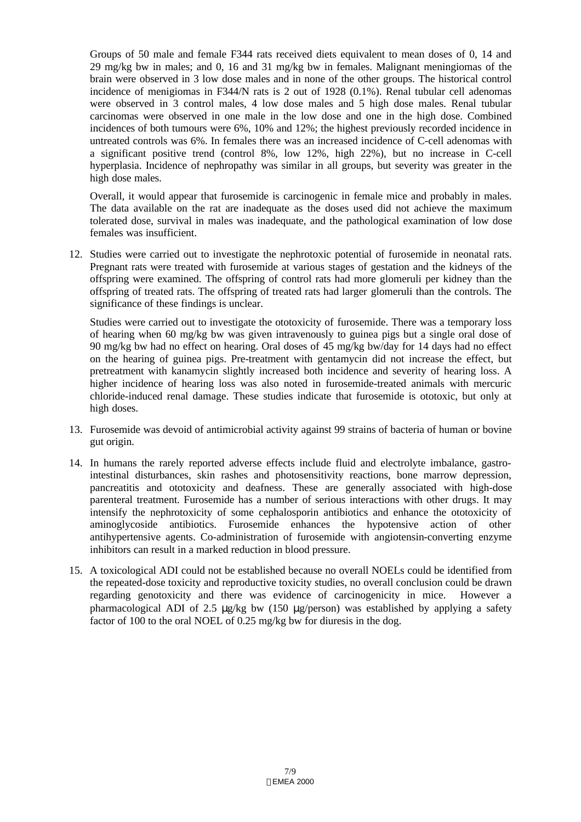Groups of 50 male and female F344 rats received diets equivalent to mean doses of 0, 14 and 29 mg/kg bw in males; and 0, 16 and 31 mg/kg bw in females. Malignant meningiomas of the brain were observed in 3 low dose males and in none of the other groups. The historical control incidence of menigiomas in F344/N rats is 2 out of 1928 (0.1%). Renal tubular cell adenomas were observed in 3 control males, 4 low dose males and 5 high dose males. Renal tubular carcinomas were observed in one male in the low dose and one in the high dose. Combined incidences of both tumours were 6%, 10% and 12%; the highest previously recorded incidence in untreated controls was 6%. In females there was an increased incidence of C-cell adenomas with a significant positive trend (control 8%, low 12%, high 22%), but no increase in C-cell hyperplasia. Incidence of nephropathy was similar in all groups, but severity was greater in the high dose males.

Overall, it would appear that furosemide is carcinogenic in female mice and probably in males. The data available on the rat are inadequate as the doses used did not achieve the maximum tolerated dose, survival in males was inadequate, and the pathological examination of low dose females was insufficient.

12. Studies were carried out to investigate the nephrotoxic potential of furosemide in neonatal rats. Pregnant rats were treated with furosemide at various stages of gestation and the kidneys of the offspring were examined. The offspring of control rats had more glomeruli per kidney than the offspring of treated rats. The offspring of treated rats had larger glomeruli than the controls. The significance of these findings is unclear.

Studies were carried out to investigate the ototoxicity of furosemide. There was a temporary loss of hearing when 60 mg/kg bw was given intravenously to guinea pigs but a single oral dose of 90 mg/kg bw had no effect on hearing. Oral doses of 45 mg/kg bw/day for 14 days had no effect on the hearing of guinea pigs. Pre-treatment with gentamycin did not increase the effect, but pretreatment with kanamycin slightly increased both incidence and severity of hearing loss. A higher incidence of hearing loss was also noted in furosemide-treated animals with mercuric chloride-induced renal damage. These studies indicate that furosemide is ototoxic, but only at high doses.

- 13. Furosemide was devoid of antimicrobial activity against 99 strains of bacteria of human or bovine gut origin.
- 14. In humans the rarely reported adverse effects include fluid and electrolyte imbalance, gastrointestinal disturbances, skin rashes and photosensitivity reactions, bone marrow depression, pancreatitis and ototoxicity and deafness. These are generally associated with high-dose parenteral treatment. Furosemide has a number of serious interactions with other drugs. It may intensify the nephrotoxicity of some cephalosporin antibiotics and enhance the ototoxicity of aminoglycoside antibiotics. Furosemide enhances the hypotensive action of other antihypertensive agents. Co-administration of furosemide with angiotensin-converting enzyme inhibitors can result in a marked reduction in blood pressure.
- 15. A toxicological ADI could not be established because no overall NOELs could be identified from the repeated-dose toxicity and reproductive toxicity studies, no overall conclusion could be drawn regarding genotoxicity and there was evidence of carcinogenicity in mice. However a pharmacological ADI of 2.5 μg/kg bw (150 μg/person) was established by applying a safety factor of 100 to the oral NOEL of 0.25 mg/kg bw for diuresis in the dog.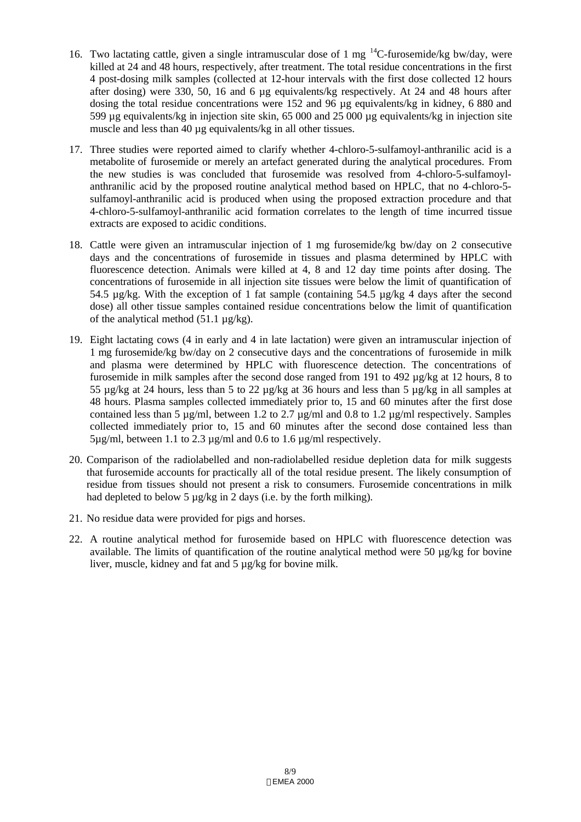- 16. Two lactating cattle, given a single intramuscular dose of 1 mg  $^{14}$ C-furosemide/kg bw/day, were killed at 24 and 48 hours, respectively, after treatment. The total residue concentrations in the first 4 post-dosing milk samples (collected at 12-hour intervals with the first dose collected 12 hours after dosing) were 330, 50, 16 and 6 µg equivalents/kg respectively. At 24 and 48 hours after dosing the total residue concentrations were 152 and 96 µg equivalents/kg in kidney, 6 880 and 599 µg equivalents/kg in injection site skin, 65 000 and 25 000 µg equivalents/kg in injection site muscle and less than 40 µg equivalents/kg in all other tissues.
- 17. Three studies were reported aimed to clarify whether 4-chloro-5-sulfamoyl-anthranilic acid is a metabolite of furosemide or merely an artefact generated during the analytical procedures. From the new studies is was concluded that furosemide was resolved from 4-chloro-5-sulfamoylanthranilic acid by the proposed routine analytical method based on HPLC, that no 4-chloro-5 sulfamoyl-anthranilic acid is produced when using the proposed extraction procedure and that 4-chloro-5-sulfamoyl-anthranilic acid formation correlates to the length of time incurred tissue extracts are exposed to acidic conditions.
- 18. Cattle were given an intramuscular injection of 1 mg furosemide/kg bw/day on 2 consecutive days and the concentrations of furosemide in tissues and plasma determined by HPLC with fluorescence detection. Animals were killed at 4, 8 and 12 day time points after dosing. The concentrations of furosemide in all injection site tissues were below the limit of quantification of 54.5  $\mu$ g/kg. With the exception of 1 fat sample (containing 54.5  $\mu$ g/kg 4 days after the second dose) all other tissue samples contained residue concentrations below the limit of quantification of the analytical method  $(51.1 \mu g/kg)$ .
- 19. Eight lactating cows (4 in early and 4 in late lactation) were given an intramuscular injection of 1 mg furosemide/kg bw/day on 2 consecutive days and the concentrations of furosemide in milk and plasma were determined by HPLC with fluorescence detection. The concentrations of furosemide in milk samples after the second dose ranged from 191 to 492 µg/kg at 12 hours, 8 to 55 µg/kg at 24 hours, less than 5 to 22 µg/kg at 36 hours and less than 5 µg/kg in all samples at 48 hours. Plasma samples collected immediately prior to, 15 and 60 minutes after the first dose contained less than 5 µg/ml, between 1.2 to 2.7 µg/ml and 0.8 to 1.2 µg/ml respectively. Samples collected immediately prior to, 15 and 60 minutes after the second dose contained less than 5µg/ml, between 1.1 to 2.3 µg/ml and 0.6 to 1.6 µg/ml respectively.
- 20. Comparison of the radiolabelled and non-radiolabelled residue depletion data for milk suggests that furosemide accounts for practically all of the total residue present. The likely consumption of residue from tissues should not present a risk to consumers. Furosemide concentrations in milk had depleted to below 5  $\mu$ g/kg in 2 days (i.e. by the forth milking).
- 21. No residue data were provided for pigs and horses.
- 22. A routine analytical method for furosemide based on HPLC with fluorescence detection was available. The limits of quantification of the routine analytical method were 50  $\mu$ g/kg for bovine liver, muscle, kidney and fat and 5 µg/kg for bovine milk.